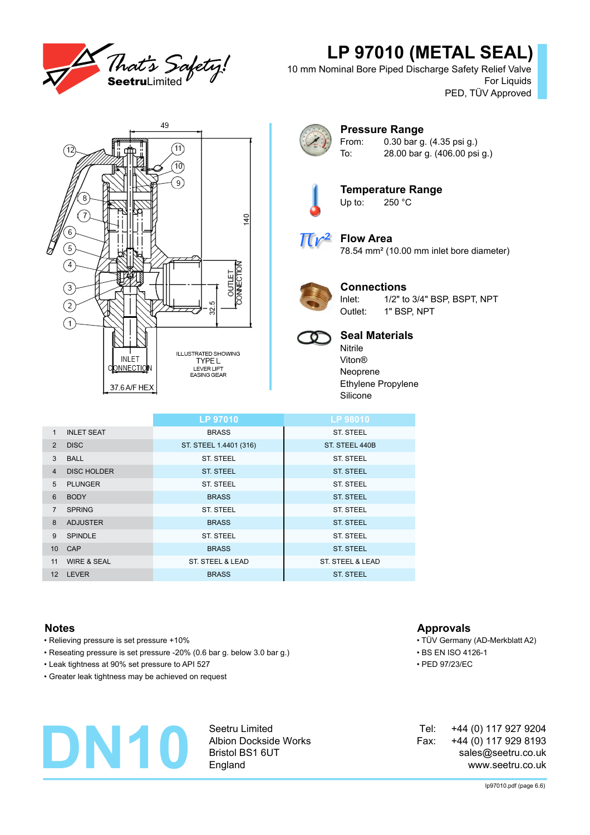

# **LP 97010 (METAL SEAL)**

10 mm Nominal Bore Piped Discharge Safety Relief Valve For Liquids PED, TÜV Approved





### **Pressure Range** From: 0.30 bar g. (4.35 psi g.) To: 28.00 bar g. (406.00 psi g.)



**Temperature Range**<br>Up to: 250 °C  $250 °C$ 



# **Flow Area**

78.54 mm² (10.00 mm inlet bore diameter)



## **Connections**

Inlet: 1/2" to 3/4" BSP, BSPT, NPT Outlet: 1" BSP, NPT



# **Seal Materials**

Nitrile Viton® Neoprene Ethylene Propylene Silicone

|                   |                        | <b>LP 97010</b>        | LP 98010         |
|-------------------|------------------------|------------------------|------------------|
| $\mathbf{1}$      | <b>INLET SEAT</b>      | <b>BRASS</b>           | ST. STEEL        |
| $\mathcal{P}$     | <b>DISC</b>            | ST. STEEL 1.4401 (316) | ST. STEEL 440B   |
| 3                 | <b>BALL</b>            | ST. STEEL              | ST. STEEL        |
| $\overline{4}$    | <b>DISC HOLDER</b>     | <b>ST. STEEL</b>       | <b>ST. STEEL</b> |
| 5                 | <b>PLUNGER</b>         | ST. STEEL              | ST. STEEL        |
| 6                 | <b>BODY</b>            | <b>BRASS</b>           | <b>ST. STEEL</b> |
| 7                 | <b>SPRING</b>          | <b>ST. STEEL</b>       | ST. STEEL        |
| 8                 | <b>ADJUSTER</b>        | <b>BRASS</b>           | <b>ST. STEEL</b> |
| 9                 | <b>SPINDLE</b>         | <b>ST. STEEL</b>       | ST. STEEL        |
| 10 <sup>1</sup>   | CAP                    | <b>BRASS</b>           | <b>ST. STEEL</b> |
| 11                | <b>WIRE &amp; SEAL</b> | ST. STEEL & LEAD       | ST. STEEL & LEAD |
| $12 \overline{ }$ | <b>LEVER</b>           | <b>BRASS</b>           | <b>ST. STEEL</b> |

- Relieving pressure is set pressure +10% TÜV Germany (AD-Merkblatt A2)
- Reseating pressure is set pressure -20% (0.6 bar g. below 3.0 bar g.) BS EN ISO 4126-1
- Leak tightness at 90% set pressure to API 527 PED 97/23/EC
- Greater leak tightness may be achieved on request

# **DN10**

Seetru Limited Albion Dockside Works Bristol BS1 6UT England

## **Notes Approvals**

- 
- 
- 

+44 (0) 117 927 9204 +44 (0) 117 929 8193 sales@seetru.co.uk www.seetru.co.uk Tel: Fax: